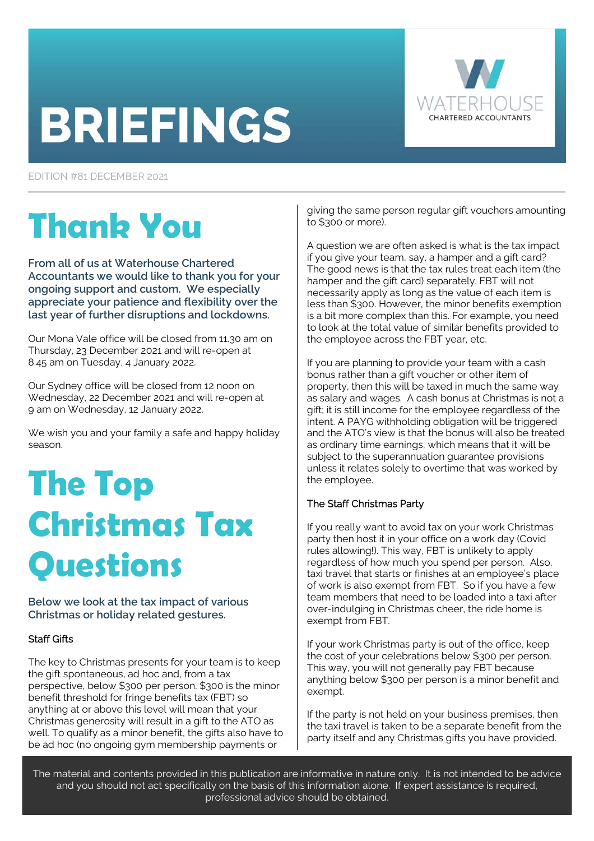# **BRIEFINGS**



EDITION #81 DECEMBER 2021

# **Thank You**

**From all of us at Waterhouse Chartered Accountants we would like to thank you for your ongoing support and custom. We especially appreciate your patience and flexibility over the last year of further disruptions and lockdowns.** 

Our Mona Vale office will be closed from 11.30 am on Thursday, 23 December 2021 and will re-open at 8.45 am on Tuesday, 4 January 2022.

Our Sydney office will be closed from 12 noon on Wednesday, 22 December 2021 and will re-open at 9 am on Wednesday, 12 January 2022.

We wish you and your family a safe and happy holiday season.

# **The Top Christmas Tax Questions**

**Below we look at the tax impact of various Christmas or holiday related gestures.** 

# Staff Gifts

The key to Christmas presents for your team is to keep the gift spontaneous, ad hoc and, from a tax perspective, below \$300 per person. \$300 is the minor benefit threshold for fringe benefits tax (FBT) so anything at or above this level will mean that your Christmas generosity will result in a gift to the ATO as well. To qualify as a minor benefit, the gifts also have to be ad hoc (no ongoing gym membership payments or

giving the same person regular gift vouchers amounting to \$300 or more).

A question we are often asked is what is the tax impact if you give your team, say, a hamper and a gift card? The good news is that the tax rules treat each item (the hamper and the gift card) separately. FBT will not necessarily apply as long as the value of each item is less than \$300. However, the minor benefits exemption is a bit more complex than this. For example, you need to look at the total value of similar benefits provided to the employee across the FBT year, etc.

If you are planning to provide your team with a cash bonus rather than a gift voucher or other item of property, then this will be taxed in much the same way as salary and wages. A cash bonus at Christmas is not a gift; it is still income for the employee regardless of the intent. A PAYG withholding obligation will be triggered and the ATO's view is that the bonus will also be treated as ordinary time earnings, which means that it will be subject to the superannuation guarantee provisions unless it relates solely to overtime that was worked by the employee.

# The Staff Christmas Party

If you really want to avoid tax on your work Christmas party then host it in your office on a work day (Covid rules allowing!). This way, FBT is unlikely to apply regardless of how much you spend per person. Also, taxi travel that starts or finishes at an employee's place of work is also exempt from FBT. So if you have a few team members that need to be loaded into a taxi after over-indulging in Christmas cheer, the ride home is exempt from FBT.

If your work Christmas party is out of the office, keep the cost of your celebrations below \$300 per person. This way, you will not generally pay FBT because anything below \$300 per person is a minor benefit and exempt.

If the party is not held on your business premises, then the taxi travel is taken to be a separate benefit from the party itself and any Christmas gifts you have provided.

The material and contents provided in this publication are informative in nature only. It is not intended to be advice and you should not act specifically on the basis of this information alone. If expert assistance is required, professional advice should be obtained.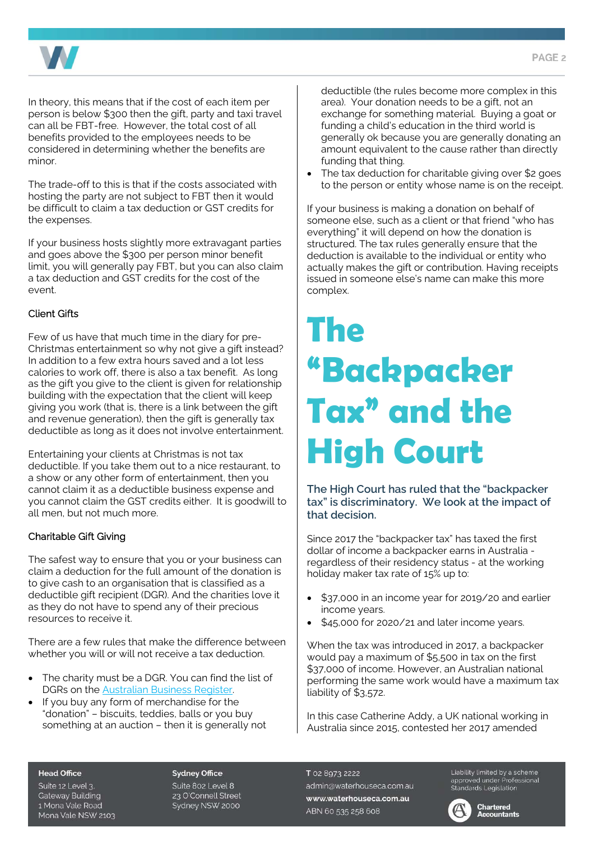

In theory, this means that if the cost of each item per person is below \$300 then the gift, party and taxi travel can all be FBT-free. However, the total cost of all benefits provided to the employees needs to be considered in determining whether the benefits are minor.

The trade-off to this is that if the costs associated with hosting the party are not subject to FBT then it would be difficult to claim a tax deduction or GST credits for the expenses.

If your business hosts slightly more extravagant parties and goes above the \$300 per person minor benefit limit, you will generally pay FBT, but you can also claim a tax deduction and GST credits for the cost of the event.

# Client Gifts

Few of us have that much time in the diary for pre-Christmas entertainment so why not give a gift instead? In addition to a few extra hours saved and a lot less calories to work off, there is also a tax benefit. As long as the gift you give to the client is given for relationship building with the expectation that the client will keep giving you work (that is, there is a link between the gift and revenue generation), then the gift is generally tax deductible as long as it does not involve entertainment.

Entertaining your clients at Christmas is not tax deductible. If you take them out to a nice restaurant, to a show or any other form of entertainment, then you cannot claim it as a deductible business expense and you cannot claim the GST credits either. It is goodwill to all men, but not much more.

### Charitable Gift Giving

The safest way to ensure that you or your business can claim a deduction for the full amount of the donation is to give cash to an organisation that is classified as a deductible gift recipient (DGR). And the charities love it as they do not have to spend any of their precious resources to receive it.

There are a few rules that make the difference between whether you will or will not receive a tax deduction.

- The charity must be a DGR. You can find the list of DGRs on the [Australian Business Register.](https://abr.business.gov.au/Tools/DgrListing)
- If you buy any form of merchandise for the "donation" – biscuits, teddies, balls or you buy something at an auction – then it is generally not

deductible (the rules become more complex in this area). Your donation needs to be a gift, not an exchange for something material. Buying a goat or funding a child's education in the third world is generally ok because you are generally donating an amount equivalent to the cause rather than directly funding that thing.

The tax deduction for charitable giving over \$2 goes to the person or entity whose name is on the receipt.

If your business is making a donation on behalf of someone else, such as a client or that friend "who has everything" it will depend on how the donation is structured. The tax rules generally ensure that the deduction is available to the individual or entity who actually makes the gift or contribution. Having receipts issued in someone else's name can make this more complex.

# **The "Backpacker Tax" and the High Court**

**The High Court has ruled that the "backpacker tax" is discriminatory. We look at the impact of that decision.** 

Since 2017 the "backpacker tax" has taxed the first dollar of income a backpacker earns in Australia regardless of their residency status - at the working holiday maker tax rate of 15% up to:

- \$37,000 in an income year for 2019/20 and earlier income years.
- \$45,000 for 2020/21 and later income years.

When the tax was introduced in 2017, a backpacker would pay a maximum of \$5,500 in tax on the first \$37,000 of income. However, an Australian national performing the same work would have a maximum tax liability of \$3,572.

In this case Catherine Addy, a UK national working in Australia since 2015, contested her 2017 amended

#### **Head Office**

Suite 12 Level 3. **Gateway Building** 1 Mona Vale Road Mona Vale NSW 2103

#### **Sydney Office**

Suite 802 Level 8 23 O'Connell Street Sydney NSW 2000

T 02 8973 2222 admin@waterhouseca.com.au www.waterhouseca.com.au ABN 60 535 258 608

Liability limited by a scheme Liabitity timited by a scrieme<br>approved under Professional<br>Standards Legislation



**Chartered Accountants**